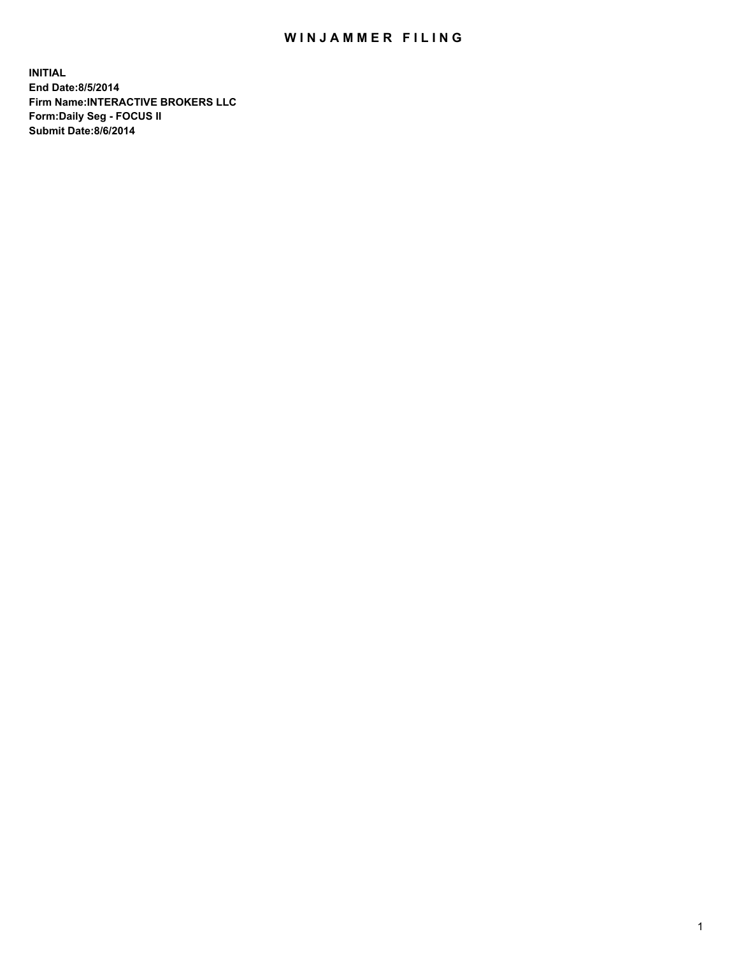## WIN JAMMER FILING

**INITIAL End Date:8/5/2014 Firm Name:INTERACTIVE BROKERS LLC Form:Daily Seg - FOCUS II Submit Date:8/6/2014**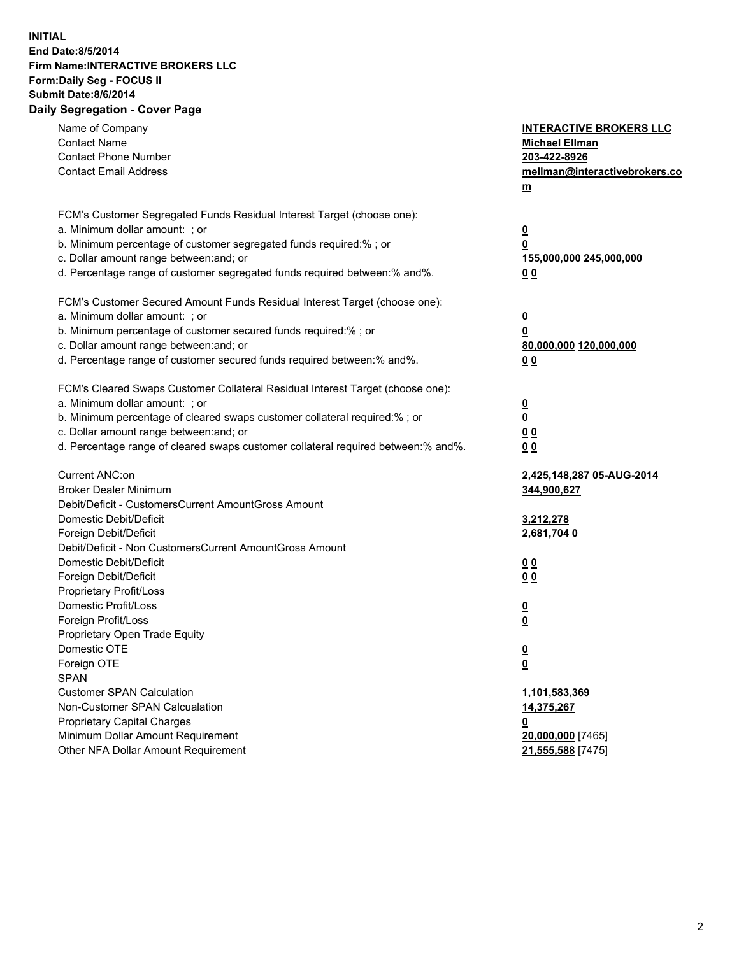## **INITIAL End Date:8/5/2014 Firm Name:INTERACTIVE BROKERS LLC Form:Daily Seg - FOCUS II Submit Date:8/6/2014 Daily Segregation - Cover Page**

| Name of Company                                                                                                              | <b>INTERACTIVE BROKERS LLC</b> |
|------------------------------------------------------------------------------------------------------------------------------|--------------------------------|
| <b>Contact Name</b>                                                                                                          | <b>Michael Ellman</b>          |
| <b>Contact Phone Number</b>                                                                                                  | 203-422-8926                   |
| <b>Contact Email Address</b>                                                                                                 | mellman@interactivebrokers.co  |
|                                                                                                                              | $\underline{\mathbf{m}}$       |
| FCM's Customer Segregated Funds Residual Interest Target (choose one):                                                       |                                |
| a. Minimum dollar amount: ; or                                                                                               | $\overline{\mathbf{0}}$        |
| b. Minimum percentage of customer segregated funds required:% ; or                                                           | 0                              |
| c. Dollar amount range between: and; or                                                                                      | 155,000,000 245,000,000        |
| d. Percentage range of customer segregated funds required between:% and%.                                                    | 00                             |
| FCM's Customer Secured Amount Funds Residual Interest Target (choose one):                                                   |                                |
| a. Minimum dollar amount: ; or                                                                                               | $\overline{\mathbf{0}}$        |
| b. Minimum percentage of customer secured funds required:% ; or                                                              | 0                              |
| c. Dollar amount range between: and; or                                                                                      | 80,000,000 120,000,000         |
| d. Percentage range of customer secured funds required between:% and%.                                                       | 00                             |
|                                                                                                                              |                                |
| FCM's Cleared Swaps Customer Collateral Residual Interest Target (choose one):<br>a. Minimum dollar amount: ; or             |                                |
|                                                                                                                              | $\overline{\mathbf{0}}$        |
| b. Minimum percentage of cleared swaps customer collateral required:% ; or                                                   | $\underline{\mathbf{0}}$       |
| c. Dollar amount range between: and; or<br>d. Percentage range of cleared swaps customer collateral required between:% and%. | 0 <sub>0</sub>                 |
|                                                                                                                              | 0 <sub>0</sub>                 |
| Current ANC:on                                                                                                               | 2,425,148,287 05-AUG-2014      |
| <b>Broker Dealer Minimum</b>                                                                                                 | 344,900,627                    |
| Debit/Deficit - CustomersCurrent AmountGross Amount                                                                          |                                |
| Domestic Debit/Deficit                                                                                                       | 3,212,278                      |
| Foreign Debit/Deficit                                                                                                        | 2,681,704 0                    |
| Debit/Deficit - Non CustomersCurrent AmountGross Amount                                                                      |                                |
| Domestic Debit/Deficit                                                                                                       | 0 <sub>0</sub>                 |
| Foreign Debit/Deficit                                                                                                        | 0 <sub>0</sub>                 |
| Proprietary Profit/Loss                                                                                                      |                                |
| Domestic Profit/Loss                                                                                                         | $\overline{\mathbf{0}}$        |
| Foreign Profit/Loss                                                                                                          | $\underline{\mathbf{0}}$       |
| Proprietary Open Trade Equity                                                                                                |                                |
| Domestic OTE                                                                                                                 | <u>0</u>                       |
| Foreign OTE                                                                                                                  | <u>0</u>                       |
| <b>SPAN</b>                                                                                                                  |                                |
| <b>Customer SPAN Calculation</b>                                                                                             | 1,101,583,369                  |
| Non-Customer SPAN Calcualation                                                                                               | 14,375,267                     |
| Proprietary Capital Charges                                                                                                  | 0                              |
| Minimum Dollar Amount Requirement                                                                                            | 20,000,000 [7465]              |
| Other NFA Dollar Amount Requirement                                                                                          | 21,555,588 [7475]              |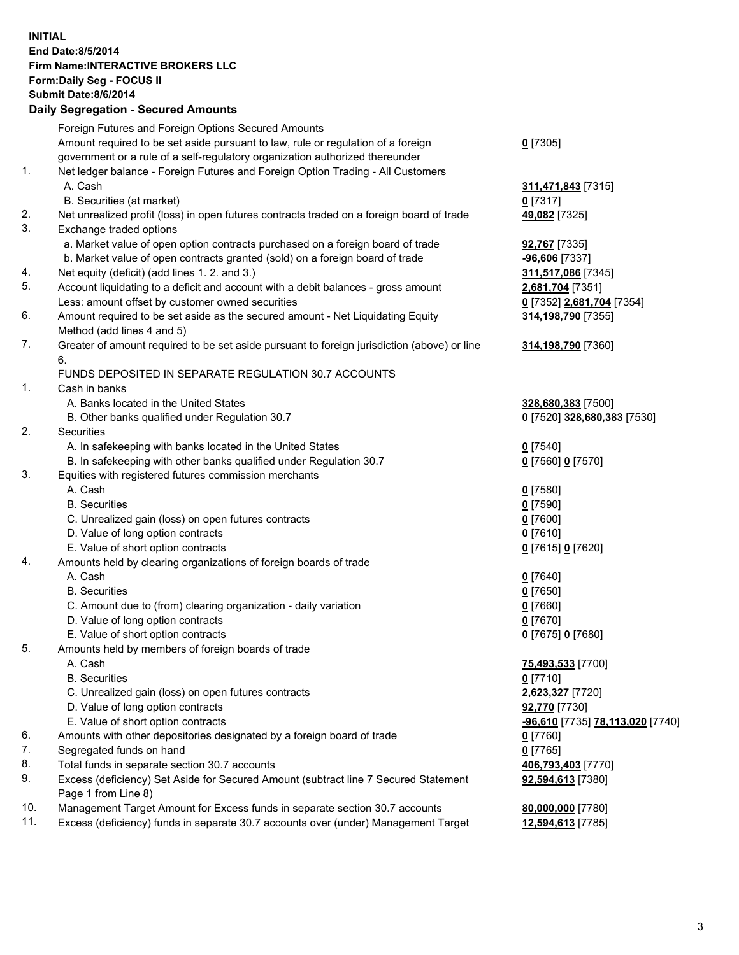## **INITIAL End Date:8/5/2014 Firm Name:INTERACTIVE BROKERS LLC Form:Daily Seg - FOCUS II Submit Date:8/6/2014 Daily Segregation - Secured Amounts**

|     | Foreign Futures and Foreign Options Secured Amounts                                                        |                                  |
|-----|------------------------------------------------------------------------------------------------------------|----------------------------------|
|     | Amount required to be set aside pursuant to law, rule or regulation of a foreign                           | $0$ [7305]                       |
|     | government or a rule of a self-regulatory organization authorized thereunder                               |                                  |
| 1.  | Net ledger balance - Foreign Futures and Foreign Option Trading - All Customers                            |                                  |
|     | A. Cash                                                                                                    | 311,471,843 [7315]               |
|     | B. Securities (at market)                                                                                  | $0$ [7317]                       |
| 2.  | Net unrealized profit (loss) in open futures contracts traded on a foreign board of trade                  | 49,082 [7325]                    |
| 3.  | Exchange traded options                                                                                    |                                  |
|     | a. Market value of open option contracts purchased on a foreign board of trade                             | <b>92,767</b> [7335]             |
|     | b. Market value of open contracts granted (sold) on a foreign board of trade                               | -96,606 [7337]                   |
| 4.  | Net equity (deficit) (add lines 1.2. and 3.)                                                               | 311,517,086 [7345]               |
| 5.  | Account liquidating to a deficit and account with a debit balances - gross amount                          | 2,681,704 [7351]                 |
|     | Less: amount offset by customer owned securities                                                           | 0 [7352] 2,681,704 [7354]        |
| 6.  | Amount required to be set aside as the secured amount - Net Liquidating Equity                             | 314,198,790 [7355]               |
|     | Method (add lines 4 and 5)                                                                                 |                                  |
| 7.  | Greater of amount required to be set aside pursuant to foreign jurisdiction (above) or line                | 314,198,790 [7360]               |
|     | 6.                                                                                                         |                                  |
|     | FUNDS DEPOSITED IN SEPARATE REGULATION 30.7 ACCOUNTS                                                       |                                  |
| 1.  | Cash in banks                                                                                              |                                  |
|     | A. Banks located in the United States                                                                      | 328,680,383 [7500]               |
|     | B. Other banks qualified under Regulation 30.7                                                             | 0 [7520] 328,680,383 [7530]      |
| 2.  | Securities                                                                                                 |                                  |
|     | A. In safekeeping with banks located in the United States                                                  | $Q$ [7540]                       |
|     | B. In safekeeping with other banks qualified under Regulation 30.7                                         | 0 [7560] 0 [7570]                |
| 3.  | Equities with registered futures commission merchants                                                      |                                  |
|     | A. Cash                                                                                                    | $0$ [7580]                       |
|     | <b>B.</b> Securities                                                                                       | $0$ [7590]                       |
|     | C. Unrealized gain (loss) on open futures contracts                                                        | $0$ [7600]                       |
|     | D. Value of long option contracts                                                                          | $0$ [7610]                       |
|     | E. Value of short option contracts                                                                         | 0 [7615] 0 [7620]                |
| 4.  | Amounts held by clearing organizations of foreign boards of trade                                          |                                  |
|     | A. Cash                                                                                                    | $0$ [7640]                       |
|     | <b>B.</b> Securities                                                                                       | $0$ [7650]                       |
|     | C. Amount due to (from) clearing organization - daily variation                                            | $0$ [7660]                       |
|     | D. Value of long option contracts                                                                          | $0$ [7670]                       |
|     | E. Value of short option contracts                                                                         | 0 [7675] 0 [7680]                |
| 5.  | Amounts held by members of foreign boards of trade                                                         |                                  |
|     | A. Cash                                                                                                    | 75,493,533 [7700]                |
|     | <b>B.</b> Securities                                                                                       | $0$ [7710]                       |
|     | C. Unrealized gain (loss) on open futures contracts                                                        | 2,623,327 [7720]                 |
|     | D. Value of long option contracts                                                                          | 92,770 [7730]                    |
|     | E. Value of short option contracts                                                                         | -96,610 [7735] 78,113,020 [7740] |
| 6.  | Amounts with other depositories designated by a foreign board of trade                                     | $0$ [7760]                       |
| 7.  | Segregated funds on hand                                                                                   | $0$ [7765]                       |
| 8.  | Total funds in separate section 30.7 accounts                                                              | 406,793,403 [7770]               |
| 9.  | Excess (deficiency) Set Aside for Secured Amount (subtract line 7 Secured Statement<br>Page 1 from Line 8) | 92,594,613 [7380]                |
| 10. | Management Target Amount for Excess funds in separate section 30.7 accounts                                | 80,000,000 [7780]                |
| 11. | Excess (deficiency) funds in separate 30.7 accounts over (under) Management Target                         | 12,594,613 [7785]                |
|     |                                                                                                            |                                  |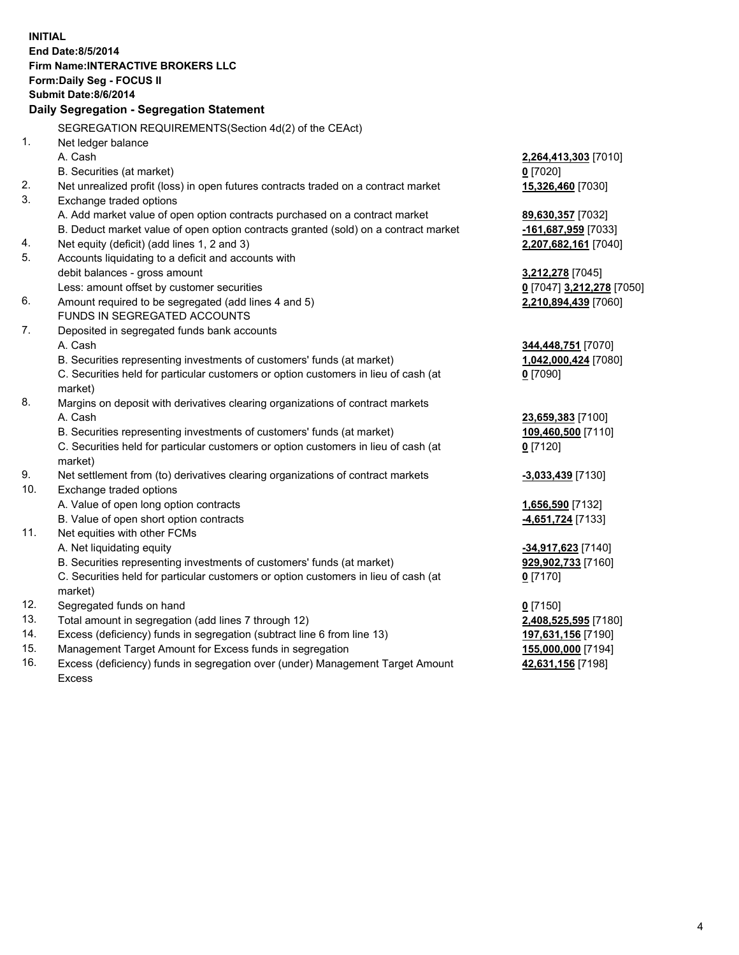**INITIAL End Date:8/5/2014 Firm Name:INTERACTIVE BROKERS LLC Form:Daily Seg - FOCUS II Submit Date:8/6/2014 Daily Segregation - Segregation Statement** SEGREGATION REQUIREMENTS(Section 4d(2) of the CEAct) 1. Net ledger balance A. Cash **2,264,413,303** [7010] B. Securities (at market) **0** [7020] 2. Net unrealized profit (loss) in open futures contracts traded on a contract market **15,326,460** [7030] 3. Exchange traded options A. Add market value of open option contracts purchased on a contract market **89,630,357** [7032] B. Deduct market value of open option contracts granted (sold) on a contract market **-161,687,959** [7033] 4. Net equity (deficit) (add lines 1, 2 and 3) **2,207,682,161** [7040] 5. Accounts liquidating to a deficit and accounts with debit balances - gross amount **3,212,278** [7045] Less: amount offset by customer securities **0** [7047] **3,212,278** [7050] 6. Amount required to be segregated (add lines 4 and 5) **2,210,894,439** [7060] FUNDS IN SEGREGATED ACCOUNTS 7. Deposited in segregated funds bank accounts A. Cash **344,448,751** [7070] B. Securities representing investments of customers' funds (at market) **1,042,000,424** [7080] C. Securities held for particular customers or option customers in lieu of cash (at market) **0** [7090] 8. Margins on deposit with derivatives clearing organizations of contract markets A. Cash **23,659,383** [7100] B. Securities representing investments of customers' funds (at market) **109,460,500** [7110] C. Securities held for particular customers or option customers in lieu of cash (at market) **0** [7120] 9. Net settlement from (to) derivatives clearing organizations of contract markets **-3,033,439** [7130] 10. Exchange traded options A. Value of open long option contracts **1,656,590** [7132] B. Value of open short option contracts **-4,651,724** [7133] 11. Net equities with other FCMs A. Net liquidating equity **-34,917,623** [7140] B. Securities representing investments of customers' funds (at market) **929,902,733** [7160] C. Securities held for particular customers or option customers in lieu of cash (at market) **0** [7170] 12. Segregated funds on hand **0** [7150] 13. Total amount in segregation (add lines 7 through 12) **2,408,525,595** [7180] 14. Excess (deficiency) funds in segregation (subtract line 6 from line 13) **197,631,156** [7190] 15. Management Target Amount for Excess funds in segregation **155,000,000** [7194] **42,631,156** [7198]

16. Excess (deficiency) funds in segregation over (under) Management Target Amount Excess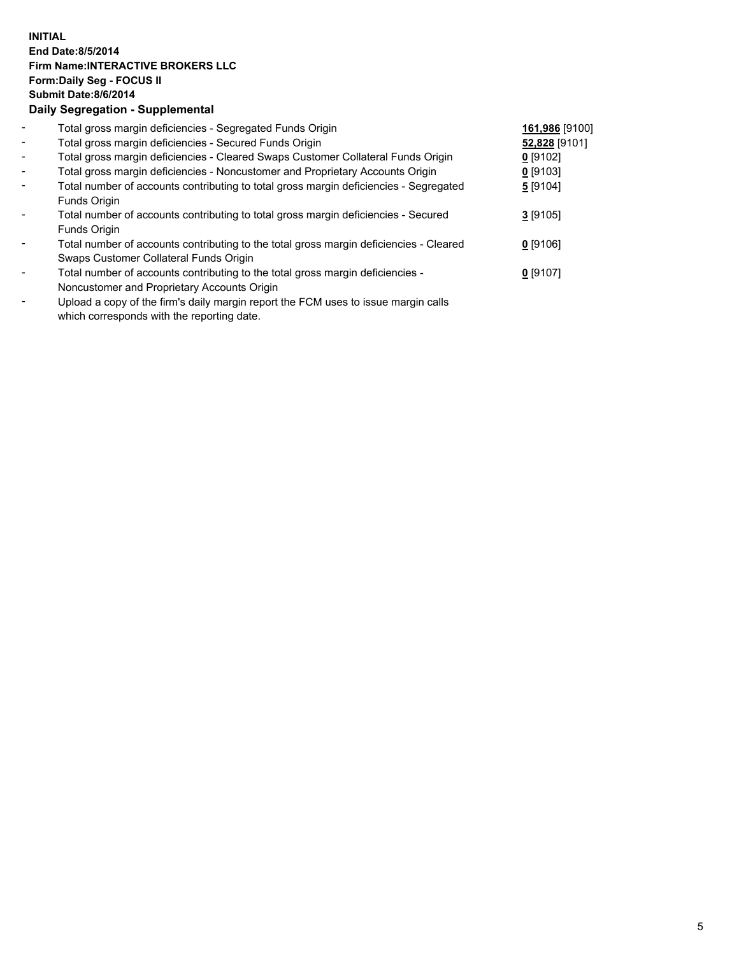## **INITIAL End Date:8/5/2014 Firm Name:INTERACTIVE BROKERS LLC Form:Daily Seg - FOCUS II Submit Date:8/6/2014 Daily Segregation - Supplemental**

| $\blacksquare$           | Total gross margin deficiencies - Segregated Funds Origin                                                                                                                                                                                         | 161,986 [9100] |  |
|--------------------------|---------------------------------------------------------------------------------------------------------------------------------------------------------------------------------------------------------------------------------------------------|----------------|--|
| $\blacksquare$           | Total gross margin deficiencies - Secured Funds Origin                                                                                                                                                                                            | 52,828 [9101]  |  |
| $\blacksquare$           | Total gross margin deficiencies - Cleared Swaps Customer Collateral Funds Origin                                                                                                                                                                  | $0$ [9102]     |  |
| $\blacksquare$           | Total gross margin deficiencies - Noncustomer and Proprietary Accounts Origin                                                                                                                                                                     | $0$ [9103]     |  |
| $\blacksquare$           | Total number of accounts contributing to total gross margin deficiencies - Segregated                                                                                                                                                             | 5[9104]        |  |
|                          | Funds Origin                                                                                                                                                                                                                                      |                |  |
| $\blacksquare$           | Total number of accounts contributing to total gross margin deficiencies - Secured                                                                                                                                                                | $3$ [9105]     |  |
|                          | Funds Origin                                                                                                                                                                                                                                      |                |  |
| $\overline{\phantom{a}}$ | Total number of accounts contributing to the total gross margin deficiencies - Cleared                                                                                                                                                            | $0$ [9106]     |  |
|                          | Swaps Customer Collateral Funds Origin                                                                                                                                                                                                            |                |  |
| $\overline{\phantom{a}}$ | Total number of accounts contributing to the total gross margin deficiencies -                                                                                                                                                                    | $0$ [9107]     |  |
|                          | Noncustomer and Proprietary Accounts Origin                                                                                                                                                                                                       |                |  |
|                          | The set of the $\mathcal{C}$ set of the set of the $\mathcal{C}$ and $\mathcal{C}$ and $\mathcal{C}$ is the set of the set of the set of the set of the set of the set of the set of the set of the set of the set of the set of the set of the s |                |  |

- Upload a copy of the firm's daily margin report the FCM uses to issue margin calls which corresponds with the reporting date.